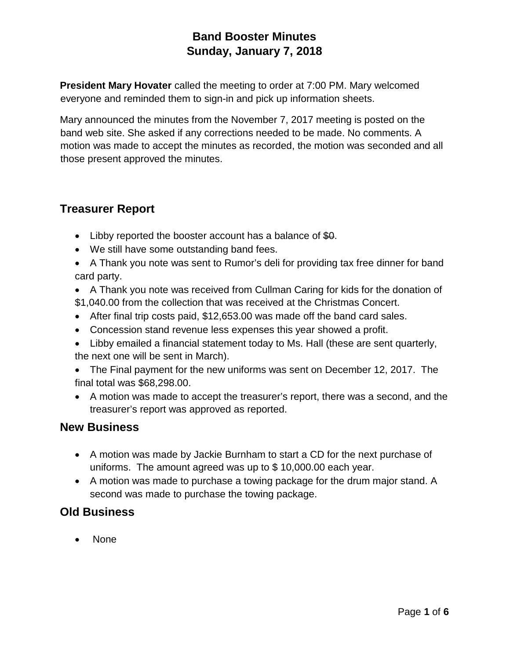**President Mary Hovater** called the meeting to order at 7:00 PM. Mary welcomed everyone and reminded them to sign-in and pick up information sheets.

Mary announced the minutes from the November 7, 2017 meeting is posted on the band web site. She asked if any corrections needed to be made. No comments. A motion was made to accept the minutes as recorded, the motion was seconded and all those present approved the minutes.

## **Treasurer Report**

- Libby reported the booster account has a balance of  $$0.$
- We still have some outstanding band fees.
- A Thank you note was sent to Rumor's deli for providing tax free dinner for band card party.
- A Thank you note was received from Cullman Caring for kids for the donation of \$1,040.00 from the collection that was received at the Christmas Concert.
- After final trip costs paid, \$12,653.00 was made off the band card sales.
- Concession stand revenue less expenses this year showed a profit.
- Libby emailed a financial statement today to Ms. Hall (these are sent quarterly, the next one will be sent in March).
- The Final payment for the new uniforms was sent on December 12, 2017. The final total was \$68,298.00.
- A motion was made to accept the treasurer's report, there was a second, and the treasurer's report was approved as reported.

### **New Business**

- A motion was made by Jackie Burnham to start a CD for the next purchase of uniforms. The amount agreed was up to \$ 10,000.00 each year.
- A motion was made to purchase a towing package for the drum major stand. A second was made to purchase the towing package.

## **Old Business**

• None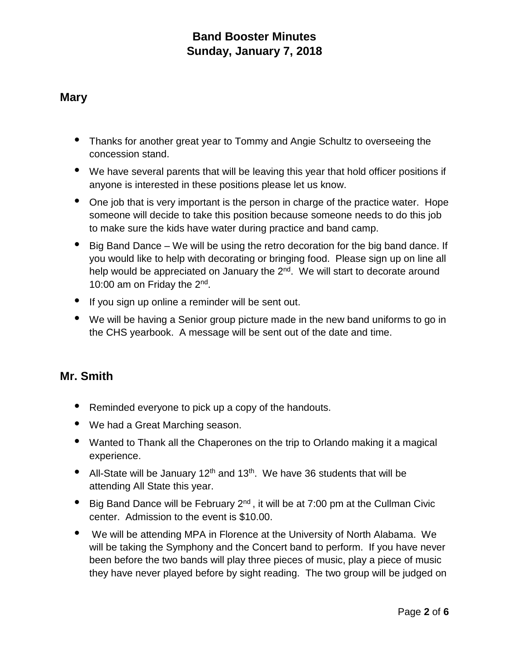#### **Mary**

- Thanks for another great year to Tommy and Angie Schultz to overseeing the concession stand.
- We have several parents that will be leaving this year that hold officer positions if anyone is interested in these positions please let us know.
- One job that is very important is the person in charge of the practice water. Hope someone will decide to take this position because someone needs to do this job to make sure the kids have water during practice and band camp.
- Big Band Dance We will be using the retro decoration for the big band dance. If you would like to help with decorating or bringing food. Please sign up on line all help would be appreciated on January the 2<sup>nd</sup>. We will start to decorate around 10:00 am on Friday the 2nd.
- If you sign up online a reminder will be sent out.
- We will be having a Senior group picture made in the new band uniforms to go in the CHS yearbook. A message will be sent out of the date and time.

# **Mr. Smith**

- Reminded everyone to pick up a copy of the handouts.
- We had a Great Marching season.
- Wanted to Thank all the Chaperones on the trip to Orlando making it a magical experience.
- All-State will be January  $12<sup>th</sup>$  and  $13<sup>th</sup>$ . We have 36 students that will be attending All State this year.
- Big Band Dance will be February  $2^{nd}$ , it will be at 7:00 pm at the Cullman Civic center. Admission to the event is \$10.00.
- We will be attending MPA in Florence at the University of North Alabama. We will be taking the Symphony and the Concert band to perform. If you have never been before the two bands will play three pieces of music, play a piece of music they have never played before by sight reading. The two group will be judged on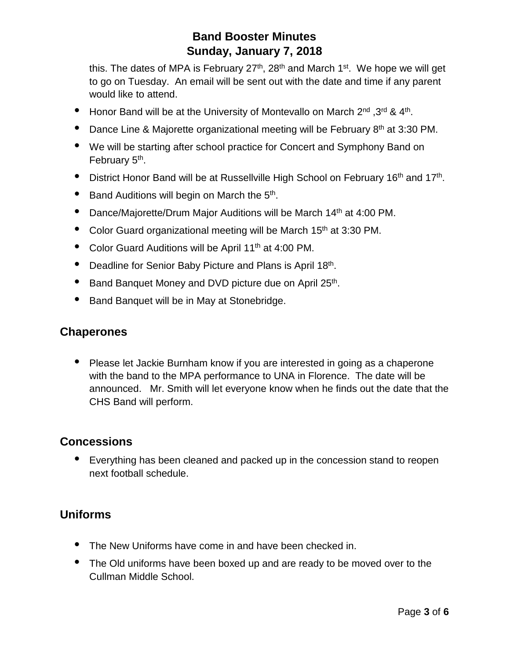this. The dates of MPA is February  $27<sup>th</sup>$ ,  $28<sup>th</sup>$  and March 1<sup>st</sup>. We hope we will get to go on Tuesday. An email will be sent out with the date and time if any parent would like to attend.

- Honor Band will be at the University of Montevallo on March 2<sup>nd</sup> ,3<sup>rd</sup> & 4<sup>th</sup>.
- Dance Line & Majorette organizational meeting will be February 8<sup>th</sup> at 3:30 PM.
- We will be starting after school practice for Concert and Symphony Band on February 5<sup>th</sup>.
- District Honor Band will be at Russellville High School on February 16<sup>th</sup> and 17<sup>th</sup>.
- $\bullet$  Band Auditions will begin on March the  $5<sup>th</sup>$ .
- Dance/Majorette/Drum Major Auditions will be March 14<sup>th</sup> at 4:00 PM.
- Color Guard organizational meeting will be March 15<sup>th</sup> at 3:30 PM.
- Color Guard Auditions will be April 11<sup>th</sup> at 4:00 PM.
- Deadline for Senior Baby Picture and Plans is April 18th.
- Band Banquet Money and DVD picture due on April 25<sup>th</sup>.
- Band Banquet will be in May at Stonebridge.

#### **Chaperones**

• Please let Jackie Burnham know if you are interested in going as a chaperone with the band to the MPA performance to UNA in Florence. The date will be announced. Mr. Smith will let everyone know when he finds out the date that the CHS Band will perform.

#### **Concessions**

• Everything has been cleaned and packed up in the concession stand to reopen next football schedule.

### **Uniforms**

- The New Uniforms have come in and have been checked in.
- The Old uniforms have been boxed up and are ready to be moved over to the Cullman Middle School.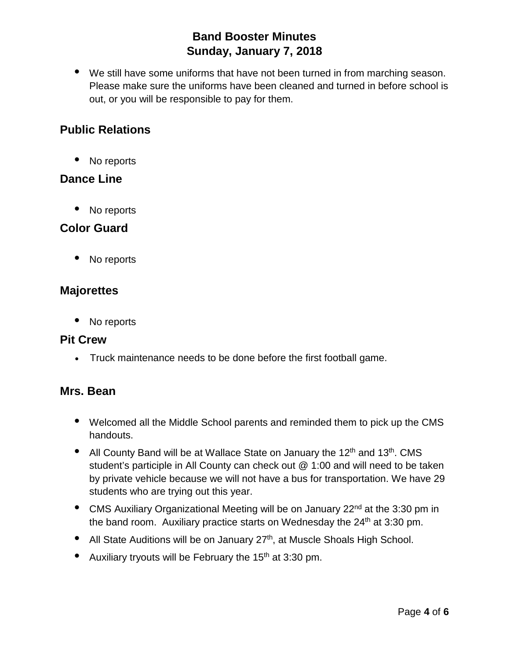• We still have some uniforms that have not been turned in from marching season. Please make sure the uniforms have been cleaned and turned in before school is out, or you will be responsible to pay for them.

## **Public Relations**

• No reports

#### **Dance Line**

• No reports

### **Color Guard**

• No reports

#### **Majorettes**

No reports

#### **Pit Crew**

• Truck maintenance needs to be done before the first football game.

### **Mrs. Bean**

- Welcomed all the Middle School parents and reminded them to pick up the CMS handouts.
- All County Band will be at Wallace State on January the 12<sup>th</sup> and 13<sup>th</sup>. CMS student's participle in All County can check out @ 1:00 and will need to be taken by private vehicle because we will not have a bus for transportation. We have 29 students who are trying out this year.
- CMS Auxiliary Organizational Meeting will be on January 22<sup>nd</sup> at the 3:30 pm in the band room. Auxiliary practice starts on Wednesday the 24<sup>th</sup> at 3:30 pm.
- All State Auditions will be on January 27<sup>th</sup>, at Muscle Shoals High School.
- Auxiliary tryouts will be February the  $15<sup>th</sup>$  at 3:30 pm.